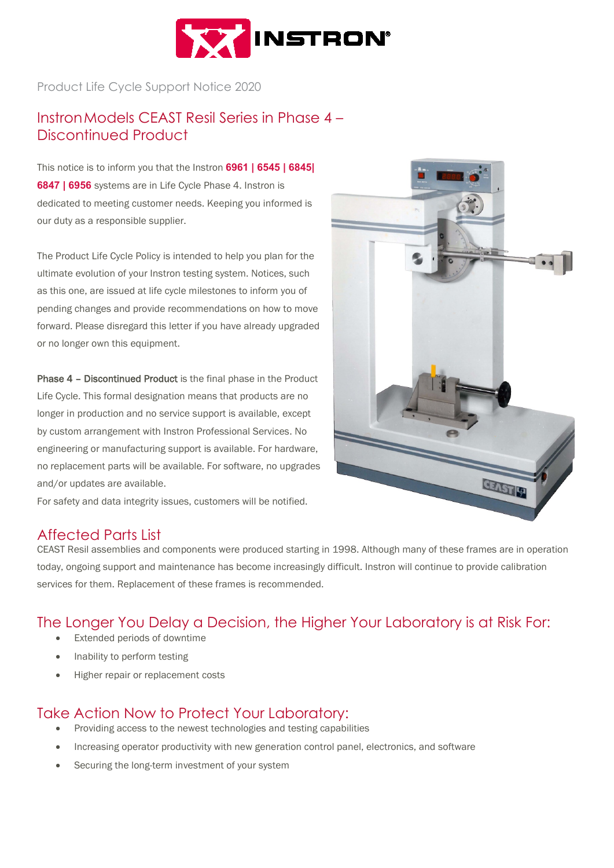

Product Life Cycle Support Notice 2020

# InstronModels CEAST Resil Series in Phase 4 – Discontinued Product

This notice is to inform you that the Instron **6961 | 6545 | 6845| 6847 | 6956** systems are in Life Cycle Phase 4. Instron is dedicated to meeting customer needs. Keeping you informed is our duty as a responsible supplier.

The Product Life Cycle Policy is intended to help you plan for the ultimate evolution of your Instron testing system. Notices, such as this one, are issued at life cycle milestones to inform you of pending changes and provide recommendations on how to move forward. Please disregard this letter if you have already upgraded or no longer own this equipment.

Phase 4 – Discontinued Product is the final phase in the Product Life Cycle. This formal designation means that products are no longer in production and no service support is available, except by custom arrangement with Instron Professional Services. No engineering or manufacturing support is available. For hardware, no replacement parts will be available. For software, no upgrades and/or updates are available.





### Affected Parts List

CEAST Resil assemblies and components were produced starting in 1998. Although many of these frames are in operation today, ongoing support and maintenance has become increasingly difficult. Instron will continue to provide calibration services for them. Replacement of these frames is recommended.

### The Longer You Delay a Decision, the Higher Your Laboratory is at Risk For:

- Extended periods of downtime
- Inability to perform testing
- Higher repair or replacement costs

## Take Action Now to Protect Your Laboratory:

- Providing access to the newest technologies and testing capabilities
- Increasing operator productivity with new generation control panel, electronics, and software
- Securing the long-term investment of your system